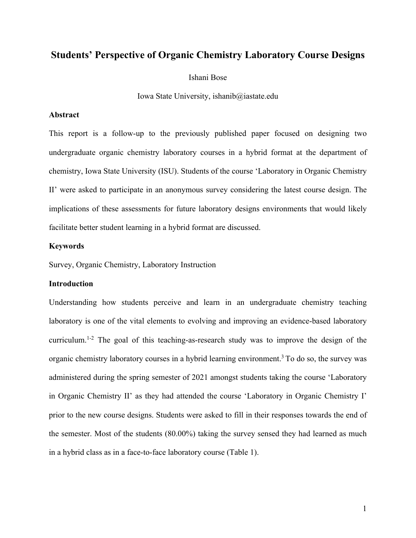# **Students' Perspective of Organic Chemistry Laboratory Course Designs**

Ishani Bose

Iowa State University, ishanib@iastate.edu

### **Abstract**

This report is a follow-up to the previously published paper focused on designing two undergraduate organic chemistry laboratory courses in a hybrid format at the department of chemistry, Iowa State University (ISU). Students of the course 'Laboratory in Organic Chemistry II' were asked to participate in an anonymous survey considering the latest course design. The implications of these assessments for future laboratory designs environments that would likely facilitate better student learning in a hybrid format are discussed.

## **Keywords**

Survey, Organic Chemistry, Laboratory Instruction

## **Introduction**

Understanding how students perceive and learn in an undergraduate chemistry teaching laboratory is one of the vital elements to evolving and improving an evidence-based laboratory curriculum.<sup>1-2</sup> The goal of this teaching-as-research study was to improve the design of the organic chemistry laboratory courses in a hybrid learning environment.3 To do so, the survey was administered during the spring semester of 2021 amongst students taking the course 'Laboratory in Organic Chemistry II' as they had attended the course 'Laboratory in Organic Chemistry I' prior to the new course designs. Students were asked to fill in their responses towards the end of the semester. Most of the students (80.00%) taking the survey sensed they had learned as much in a hybrid class as in a face-to-face laboratory course (Table 1).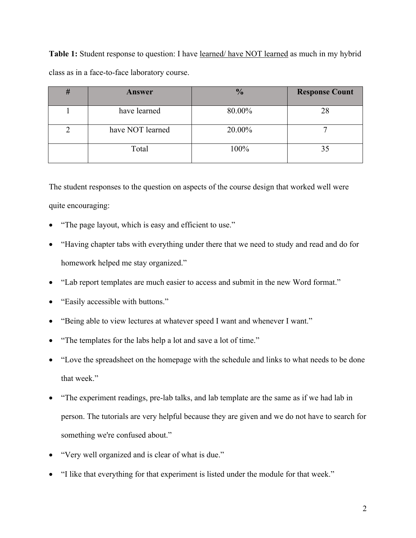Table 1: Student response to question: I have <u>learned/have NOT learned</u> as much in my hybrid class as in a face-to-face laboratory course.

| # | Answer           | $\frac{0}{0}$ | <b>Response Count</b> |
|---|------------------|---------------|-----------------------|
|   | have learned     | 80.00%        | 28                    |
|   | have NOT learned | 20.00%        |                       |
|   | Total            | 100%          | 35                    |

The student responses to the question on aspects of the course design that worked well were quite encouraging:

- "The page layout, which is easy and efficient to use."
- "Having chapter tabs with everything under there that we need to study and read and do for homework helped me stay organized."
- "Lab report templates are much easier to access and submit in the new Word format."
- "Easily accessible with buttons."
- "Being able to view lectures at whatever speed I want and whenever I want."
- "The templates for the labs help a lot and save a lot of time."
- "Love the spreadsheet on the homepage with the schedule and links to what needs to be done that week."
- "The experiment readings, pre-lab talks, and lab template are the same as if we had lab in person. The tutorials are very helpful because they are given and we do not have to search for something we're confused about."
- "Very well organized and is clear of what is due."
- "I like that everything for that experiment is listed under the module for that week."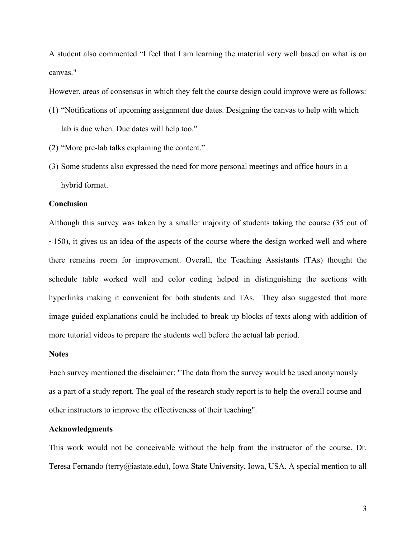A student also commented "I feel that I am learning the material very well based on what is on canvas."

However, areas of consensus in which they felt the course design could improve were as follows:

- (1) "Notifications of upcoming assignment due dates. Designing the canvas to help with which lab is due when. Due dates will help too."
- (2) "More pre-lab talks explaining the content."
- (3) Some students also expressed the need for more personal meetings and office hours in a hybrid format.

### **Conclusion**

Although this survey was taken by a smaller majority of students taking the course (35 out of  $\sim$ 150), it gives us an idea of the aspects of the course where the design worked well and where there remains room for improvement. Overall, the Teaching Assistants (TAs) thought the schedule table worked well and color coding helped in distinguishing the sections with hyperlinks making it convenient for both students and TAs. They also suggested that more image guided explanations could be included to break up blocks of texts along with addition of more tutorial videos to prepare the students well before the actual lab period.

#### **Notes**

Each survey mentioned the disclaimer: "The data from the survey would be used anonymously as a part of a study report. The goal of the research study report is to help the overall course and other instructors to improve the effectiveness of their teaching".

#### **Acknowledgments**

This work would not be conceivable without the help from the instructor of the course, Dr. Teresa Fernando (terry@iastate.edu), Iowa State University, Iowa, USA. A special mention to all